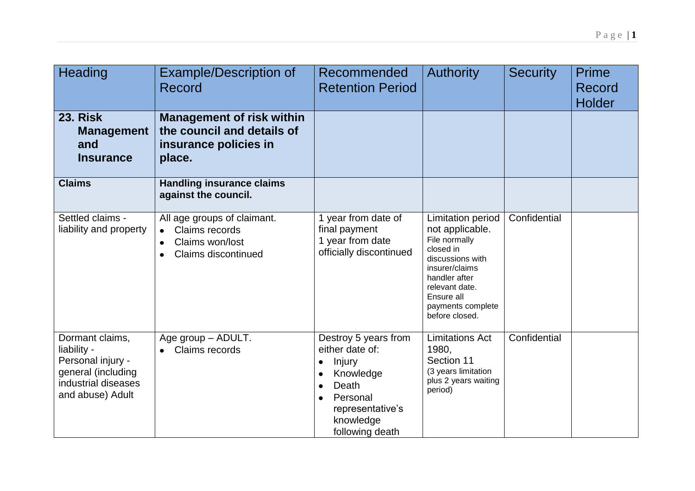| Heading                                                                                                              | <b>Example/Description of</b><br>Record                                                                                               | Recommended<br><b>Retention Period</b>                                                                                                       | <b>Authority</b>                                                                                                                                                                                        | <b>Security</b> | Prime<br>Record<br><b>Holder</b> |
|----------------------------------------------------------------------------------------------------------------------|---------------------------------------------------------------------------------------------------------------------------------------|----------------------------------------------------------------------------------------------------------------------------------------------|---------------------------------------------------------------------------------------------------------------------------------------------------------------------------------------------------------|-----------------|----------------------------------|
| <b>23. Risk</b><br><b>Management</b><br>and<br><b>Insurance</b>                                                      | <b>Management of risk within</b><br>the council and details of<br>insurance policies in<br>place.                                     |                                                                                                                                              |                                                                                                                                                                                                         |                 |                                  |
| <b>Claims</b>                                                                                                        | <b>Handling insurance claims</b><br>against the council.                                                                              |                                                                                                                                              |                                                                                                                                                                                                         |                 |                                  |
| Settled claims -<br>liability and property                                                                           | All age groups of claimant.<br>Claims records<br>$\bullet$<br>Claims won/lost<br>$\bullet$<br><b>Claims discontinued</b><br>$\bullet$ | 1 year from date of<br>final payment<br>1 year from date<br>officially discontinued                                                          | <b>Limitation period</b><br>not applicable.<br>File normally<br>closed in<br>discussions with<br>insurer/claims<br>handler after<br>relevant date.<br>Ensure all<br>payments complete<br>before closed. | Confidential    |                                  |
| Dormant claims,<br>liability -<br>Personal injury -<br>general (including<br>industrial diseases<br>and abuse) Adult | Age group - ADULT.<br>Claims records<br>$\bullet$                                                                                     | Destroy 5 years from<br>either date of:<br>Injury<br>٠<br>Knowledge<br>Death<br>Personal<br>representative's<br>knowledge<br>following death | <b>Limitations Act</b><br>1980,<br>Section 11<br>(3 years limitation<br>plus 2 years waiting<br>period)                                                                                                 | Confidential    |                                  |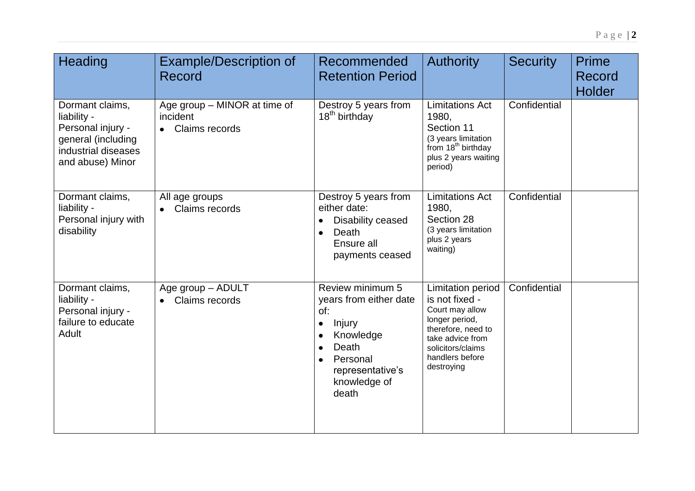| Heading                                                                                                              | <b>Example/Description of</b><br>Record                      | Recommended<br><b>Retention Period</b>                                                                                                                  | <b>Authority</b>                                                                                                                                                                | <b>Security</b> | <b>Prime</b><br>Record<br><b>Holder</b> |
|----------------------------------------------------------------------------------------------------------------------|--------------------------------------------------------------|---------------------------------------------------------------------------------------------------------------------------------------------------------|---------------------------------------------------------------------------------------------------------------------------------------------------------------------------------|-----------------|-----------------------------------------|
| Dormant claims,<br>liability -<br>Personal injury -<br>general (including<br>industrial diseases<br>and abuse) Minor | Age group – MINOR at time of<br>incident<br>• Claims records | Destroy 5 years from<br>18 <sup>th</sup> birthday                                                                                                       | <b>Limitations Act</b><br>1980,<br>Section 11<br>(3 years limitation<br>from 18 <sup>th</sup> birthday<br>plus 2 years waiting<br>period)                                       | Confidential    |                                         |
| Dormant claims,<br>liability -<br>Personal injury with<br>disability                                                 | All age groups<br>Claims records                             | Destroy 5 years from<br>either date:<br>Disability ceased<br>Death<br>$\bullet$<br>Ensure all<br>payments ceased                                        | <b>Limitations Act</b><br>1980,<br>Section 28<br>(3 years limitation<br>plus 2 years<br>waiting)                                                                                | Confidential    |                                         |
| Dormant claims,<br>liability -<br>Personal injury -<br>failure to educate<br>Adult                                   | Age group - ADULT<br>Claims records                          | Review minimum 5<br>years from either date<br>of:<br>Injury<br>$\bullet$<br>Knowledge<br>Death<br>Personal<br>representative's<br>knowledge of<br>death | <b>Limitation period</b><br>is not fixed -<br>Court may allow<br>longer period,<br>therefore, need to<br>take advice from<br>solicitors/claims<br>handlers before<br>destroying | Confidential    |                                         |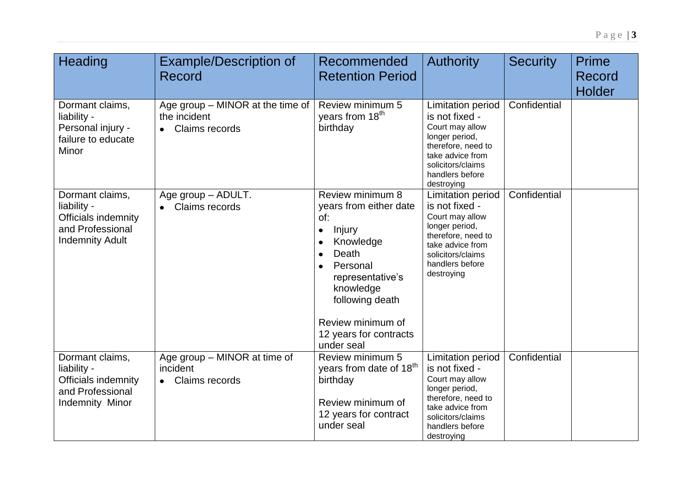|                                                             |                                                                                                                    |                 | $P$ age $\overline{\mathbf{3}}$ |
|-------------------------------------------------------------|--------------------------------------------------------------------------------------------------------------------|-----------------|---------------------------------|
|                                                             |                                                                                                                    |                 |                                 |
| Recommended                                                 | <b>Authority</b>                                                                                                   | <b>Security</b> | <b>Prime</b>                    |
| <b>Retention Period</b>                                     |                                                                                                                    |                 | Record                          |
|                                                             |                                                                                                                    |                 | <b>Holder</b>                   |
| Review minimum 5<br>years from 18 <sup>th</sup><br>birthday | Limitation period<br>is not fixed -<br>Court may allow<br>longer period,<br>therefore, need to<br>take advice from | Confidential    |                                 |

|                                                                                                     |                                                                    |                                                                                                                                                                                                                                          |                                                                                                                                                                          |              | <b>Holder</b> |
|-----------------------------------------------------------------------------------------------------|--------------------------------------------------------------------|------------------------------------------------------------------------------------------------------------------------------------------------------------------------------------------------------------------------------------------|--------------------------------------------------------------------------------------------------------------------------------------------------------------------------|--------------|---------------|
| Dormant claims,<br>liability -<br>Personal injury -<br>failure to educate<br>Minor                  | Age group – MINOR at the time of<br>the incident<br>Claims records | Review minimum 5<br>years from 18 <sup>th</sup><br>birthday                                                                                                                                                                              | Limitation period<br>is not fixed -<br>Court may allow<br>longer period,<br>therefore, need to<br>take advice from<br>solicitors/claims<br>handlers before<br>destroying | Confidential |               |
| Dormant claims,<br>liability -<br>Officials indemnity<br>and Professional<br><b>Indemnity Adult</b> | Age group - ADULT.<br>• Claims records                             | Review minimum 8<br>years from either date<br>of:<br>Injury<br>$\bullet$<br>Knowledge<br>Death<br>Personal<br>$\bullet$<br>representative's<br>knowledge<br>following death<br>Review minimum of<br>12 years for contracts<br>under seal | Limitation period<br>is not fixed -<br>Court may allow<br>longer period,<br>therefore, need to<br>take advice from<br>solicitors/claims<br>handlers before<br>destroying | Confidential |               |
| Dormant claims,<br>liability -<br>Officials indemnity<br>and Professional<br>Indemnity Minor        | Age group - MINOR at time of<br>incident<br>Claims records         | Review minimum 5<br>years from date of 18 <sup>th</sup><br>birthday<br>Review minimum of<br>12 years for contract<br>under seal                                                                                                          | Limitation period<br>is not fixed -<br>Court may allow<br>longer period,<br>therefore, need to<br>take advice from<br>solicitors/claims<br>handlers before<br>destroying | Confidential |               |

Heading **Example/Description of** Record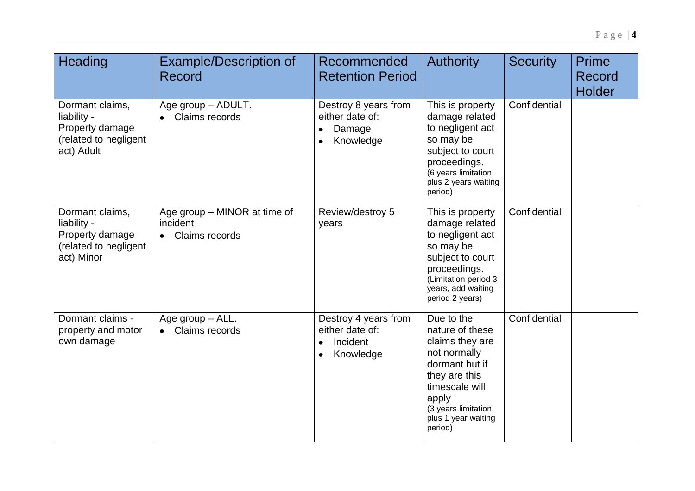| Heading                                                                                  | <b>Example/Description of</b><br>Record                                 | Recommended<br><b>Retention Period</b>                                        | <b>Authority</b>                                                                                                                                                                        | <b>Security</b> | Prime<br>Record<br><b>Holder</b> |
|------------------------------------------------------------------------------------------|-------------------------------------------------------------------------|-------------------------------------------------------------------------------|-----------------------------------------------------------------------------------------------------------------------------------------------------------------------------------------|-----------------|----------------------------------|
| Dormant claims,<br>liability -<br>Property damage<br>(related to negligent<br>act) Adult | Age group - ADULT.<br>Claims records                                    | Destroy 8 years from<br>either date of:<br>Damage<br>Knowledge<br>٠           | This is property<br>damage related<br>to negligent act<br>so may be<br>subject to court<br>proceedings.<br>(6 years limitation<br>plus 2 years waiting<br>period)                       | Confidential    |                                  |
| Dormant claims,<br>liability -<br>Property damage<br>(related to negligent<br>act) Minor | Age group - MINOR at time of<br>incident<br>Claims records<br>$\bullet$ | Review/destroy 5<br>years                                                     | This is property<br>damage related<br>to negligent act<br>so may be<br>subject to court<br>proceedings.<br>(Limitation period 3<br>years, add waiting<br>period 2 years)                | Confidential    |                                  |
| Dormant claims -<br>property and motor<br>own damage                                     | Age group - ALL.<br>Claims records                                      | Destroy 4 years from<br>either date of:<br>Incident<br>Knowledge<br>$\bullet$ | Due to the<br>nature of these<br>claims they are<br>not normally<br>dormant but if<br>they are this<br>timescale will<br>apply<br>(3 years limitation<br>plus 1 year waiting<br>period) | Confidential    |                                  |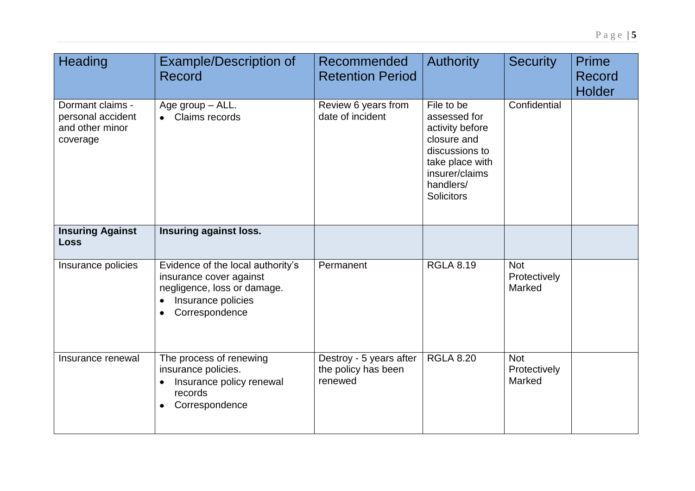| Heading                                                              | <b>Example/Description of</b><br>Record                                                                                                          | Recommended<br><b>Retention Period</b>                    | <b>Authority</b>                                                                                                                                      | <b>Security</b>                      | <b>Prime</b><br>Record<br><b>Holder</b> |
|----------------------------------------------------------------------|--------------------------------------------------------------------------------------------------------------------------------------------------|-----------------------------------------------------------|-------------------------------------------------------------------------------------------------------------------------------------------------------|--------------------------------------|-----------------------------------------|
| Dormant claims -<br>personal accident<br>and other minor<br>coverage | Age group - ALL.<br>Claims records                                                                                                               | Review 6 years from<br>date of incident                   | File to be<br>assessed for<br>activity before<br>closure and<br>discussions to<br>take place with<br>insurer/claims<br>handlers/<br><b>Solicitors</b> | Confidential                         |                                         |
| <b>Insuring Against</b><br><b>Loss</b>                               | Insuring against loss.                                                                                                                           |                                                           |                                                                                                                                                       |                                      |                                         |
| Insurance policies                                                   | Evidence of the local authority's<br>insurance cover against<br>negligence, loss or damage.<br>Insurance policies<br>Correspondence<br>$\bullet$ | Permanent                                                 | <b>RGLA 8.19</b>                                                                                                                                      | <b>Not</b><br>Protectively<br>Marked |                                         |
| Insurance renewal                                                    | The process of renewing<br>insurance policies.<br>Insurance policy renewal<br>$\bullet$<br>records<br>Correspondence<br>$\bullet$                | Destroy - 5 years after<br>the policy has been<br>renewed | <b>RGLA 8.20</b>                                                                                                                                      | <b>Not</b><br>Protectively<br>Marked |                                         |